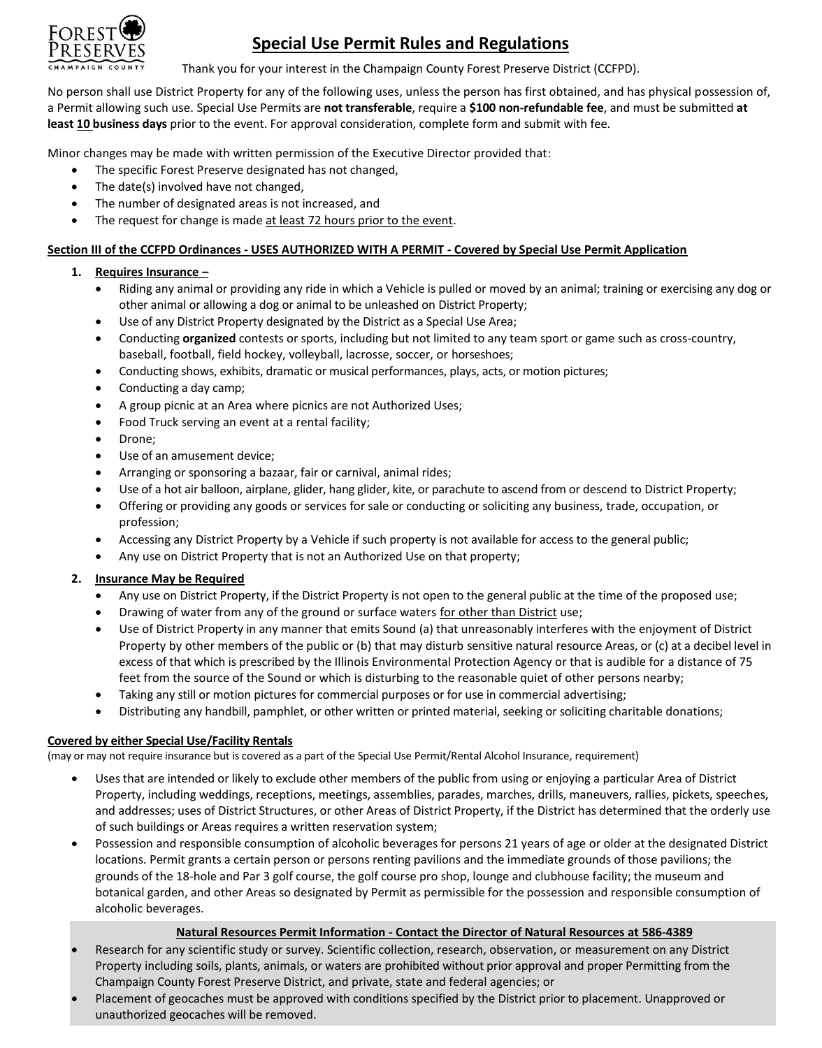

## **Special Use Permit Rules and Regulations**

Thank you for your interest in the Champaign County Forest Preserve District (CCFPD).

No person shall use District Property for any of the following uses, unless the person has first obtained, and has physical possession of, a Permit allowing such use. Special Use Permits are **not transferable**, require a **\$100 non-refundable fee**, and must be submitted **at least 10 business days** prior to the event. For approval consideration, complete form and submit with fee.

Minor changes may be made with written permission of the Executive Director provided that:

- The specific Forest Preserve designated has not changed,
- The date(s) involved have not changed,
- The number of designated areas is not increased, and
- The request for change is made at least 72 hours prior to the event.

## **Section III of the CCFPD Ordinances - USES AUTHORIZED WITH A PERMIT - Covered by Special Use Permit Application**

## **1. Requires Insurance –**

- Riding any animal or providing any ride in which a Vehicle is pulled or moved by an animal; training or exercising any dog or other animal or allowing a dog or animal to be unleashed on District Property;
- Use of any District Property designated by the District as a Special Use Area;
- Conducting **organized** contests or sports, including but not limited to any team sport or game such as cross-country, baseball, football, field hockey, volleyball, lacrosse, soccer, or horseshoes;
- Conducting shows, exhibits, dramatic or musical performances, plays, acts, or motion pictures;
- Conducting a day camp;
- A group picnic at an Area where picnics are not Authorized Uses;
- Food Truck serving an event at a rental facility;
- Drone;
- Use of an amusement device;
- Arranging or sponsoring a bazaar, fair or carnival, animal rides;
- Use of a hot air balloon, airplane, glider, hang glider, kite, or parachute to ascend from or descend to District Property;
- Offering or providing any goods or services for sale or conducting or soliciting any business, trade, occupation, or profession;
- Accessing any District Property by a Vehicle if such property is not available for access to the general public;
- Any use on District Property that is not an Authorized Use on that property;

### **2. Insurance May be Required**

- Any use on District Property, if the District Property is not open to the general public at the time of the proposed use;
- Drawing of water from any of the ground or surface waters for other than District use;
- Use of District Property in any manner that emits Sound (a) that unreasonably interferes with the enjoyment of District Property by other members of the public or (b) that may disturb sensitive natural resource Areas, or (c) at a decibel level in excess of that which is prescribed by the Illinois Environmental Protection Agency or that is audible for a distance of 75 feet from the source of the Sound or which is disturbing to the reasonable quiet of other persons nearby;
- Taking any still or motion pictures for commercial purposes or for use in commercial advertising;
- Distributing any handbill, pamphlet, or other written or printed material, seeking or soliciting charitable donations;

### **Covered by either Special Use/Facility Rentals**

(may or may not require insurance but is covered as a part of the Special Use Permit/Rental Alcohol Insurance, requirement)

- Uses that are intended or likely to exclude other members of the public from using or enjoying a particular Area of District Property, including weddings, receptions, meetings, assemblies, parades, marches, drills, maneuvers, rallies, pickets, speeches, and addresses; uses of District Structures, or other Areas of District Property, if the District has determined that the orderly use of such buildings or Areas requires a written reservation system;
- Possession and responsible consumption of alcoholic beverages for persons 21 years of age or older at the designated District locations. Permit grants a certain person or persons renting pavilions and the immediate grounds of those pavilions; the grounds of the 18-hole and Par 3 golf course, the golf course pro shop, lounge and clubhouse facility; the museum and botanical garden, and other Areas so designated by Permit as permissible for the possession and responsible consumption of alcoholic beverages.

### **Natural Resources Permit Information - Contact the Director of Natural Resources at 586-4389**

- Research for any scientific study or survey. Scientific collection, research, observation, or measurement on any District Property including soils, plants, animals, or waters are prohibited without prior approval and proper Permitting from the Champaign County Forest Preserve District, and private, state and federal agencies; or
- Placement of geocaches must be approved with conditions specified by the District prior to placement. Unapproved or unauthorized geocaches will be removed.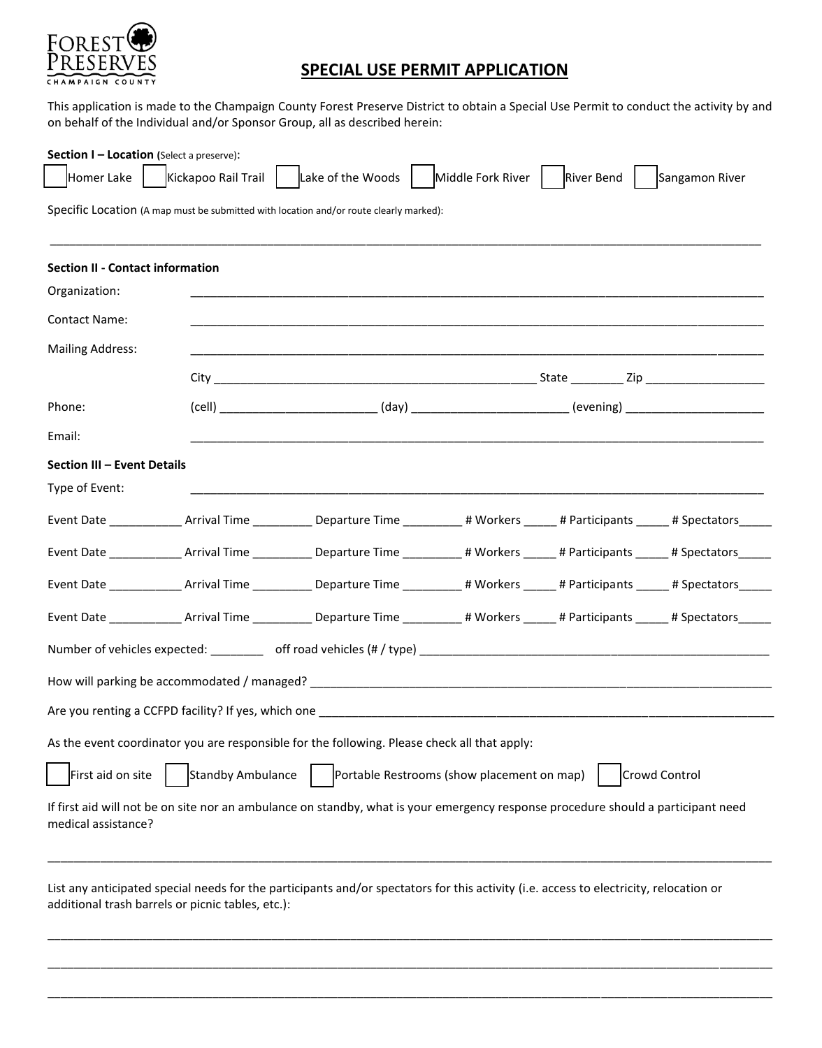

# **SPECIAL USE PERMIT APPLICATION**

This application is made to the Champaign County Forest Preserve District to obtain a Special Use Permit to conduct the activity by and on behalf of the Individual and/or Sponsor Group, all as described herein:

| Section I - Location (Select a preserve):<br>Homer Lake | Kickapoo Rail Trail                               | Lake of the Woods                                                                                                                           | Middle Fork River   River Bend             | Sangamon River |
|---------------------------------------------------------|---------------------------------------------------|---------------------------------------------------------------------------------------------------------------------------------------------|--------------------------------------------|----------------|
|                                                         |                                                   | Specific Location (A map must be submitted with location and/or route clearly marked):                                                      |                                            |                |
| <b>Section II - Contact information</b>                 |                                                   |                                                                                                                                             |                                            |                |
| Organization:                                           |                                                   |                                                                                                                                             |                                            |                |
| <b>Contact Name:</b>                                    |                                                   |                                                                                                                                             |                                            |                |
| <b>Mailing Address:</b>                                 |                                                   |                                                                                                                                             |                                            |                |
|                                                         |                                                   |                                                                                                                                             |                                            |                |
| Phone:                                                  |                                                   |                                                                                                                                             |                                            |                |
| Email:                                                  |                                                   | <u> 1989 - Johann Stoff, deutscher Stoff, der Stoff, der Stoff, der Stoff, der Stoff, der Stoff, der Stoff, der S</u>                       |                                            |                |
| Section III - Event Details                             |                                                   |                                                                                                                                             |                                            |                |
| Type of Event:                                          |                                                   |                                                                                                                                             |                                            |                |
|                                                         |                                                   | Event Date _______________Arrival Time ________________Departure Time ____________# Workers ______# Participants _______# Spectators_______ |                                            |                |
|                                                         |                                                   | Event Date _______________Arrival Time _______________Departure Time ____________# Workers ______# Participants ______# Spectators_______   |                                            |                |
|                                                         |                                                   | Event Date _______________Arrival Time _______________Departure Time ____________# Workers ______# Participants ______# Spectators______    |                                            |                |
|                                                         |                                                   | Event Date ______________Arrival Time ______________Departure Time ____________# Workers ______# Participants ______# Spectators______      |                                            |                |
|                                                         |                                                   |                                                                                                                                             |                                            |                |
|                                                         |                                                   |                                                                                                                                             |                                            |                |
|                                                         |                                                   |                                                                                                                                             |                                            |                |
|                                                         |                                                   | As the event coordinator you are responsible for the following. Please check all that apply:                                                |                                            |                |
| First aid on site                                       | Standby Ambulance                                 |                                                                                                                                             | Portable Restrooms (show placement on map) | Crowd Control  |
| medical assistance?                                     |                                                   | If first aid will not be on site nor an ambulance on standby, what is your emergency response procedure should a participant need           |                                            |                |
|                                                         | additional trash barrels or picnic tables, etc.): | List any anticipated special needs for the participants and/or spectators for this activity (i.e. access to electricity, relocation or      |                                            |                |

\_\_\_\_\_\_\_\_\_\_\_\_\_\_\_\_\_\_\_\_\_\_\_\_\_\_\_\_\_\_\_\_\_\_\_\_\_\_\_\_\_\_\_\_\_\_\_\_\_\_\_\_\_\_\_\_\_\_\_\_\_\_\_\_\_\_\_\_\_\_\_\_\_\_\_\_\_\_\_\_\_\_\_\_\_\_\_\_\_\_\_\_\_\_\_\_\_\_\_\_\_\_\_\_\_\_\_\_\_\_

\_\_\_\_\_\_\_\_\_\_\_\_\_\_\_\_\_\_\_\_\_\_\_\_\_\_\_\_\_\_\_\_\_\_\_\_\_\_\_\_\_\_\_\_\_\_\_\_\_\_\_\_\_\_\_\_\_\_\_\_\_\_\_\_\_\_\_\_\_\_\_\_\_\_\_\_\_\_\_\_\_\_\_\_\_\_\_\_\_\_\_\_\_\_\_\_\_\_\_\_\_\_\_\_\_\_\_\_\_\_

\_\_\_\_\_\_\_\_\_\_\_\_\_\_\_\_\_\_\_\_\_\_\_\_\_\_\_\_\_\_\_\_\_\_\_\_\_\_\_\_\_\_\_\_\_\_\_\_\_\_\_\_\_\_\_\_\_\_\_\_\_\_\_\_\_\_\_\_\_\_\_\_\_\_\_\_\_\_\_\_\_\_\_\_\_\_\_\_\_\_\_\_\_\_\_\_\_\_\_\_\_\_\_\_\_\_\_\_\_\_